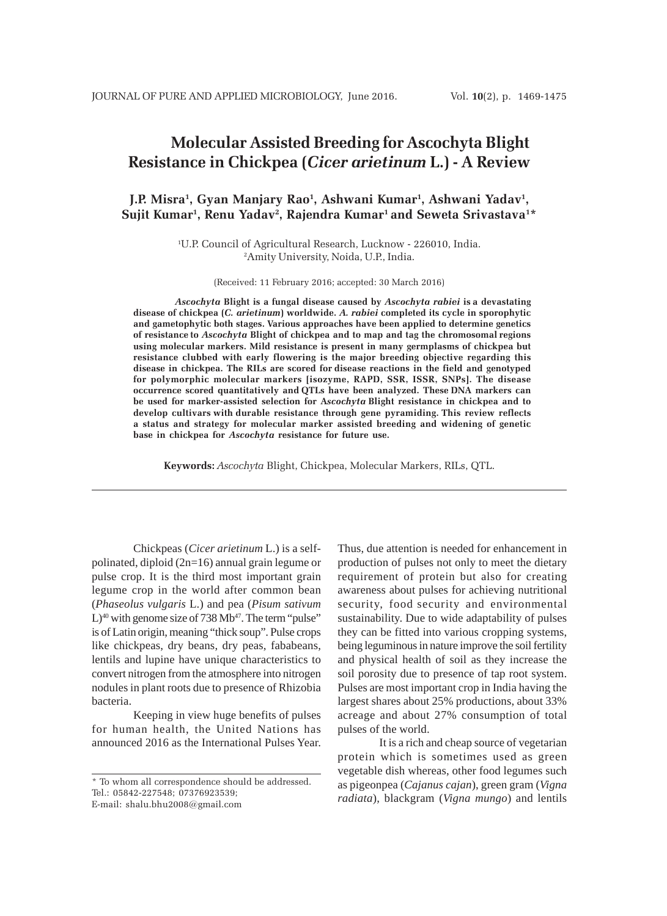# **Molecular Assisted Breeding for Ascochyta Blight Resistance in Chickpea (***Cicer arietinum* **L.) - A Review**

## J.P. Misra<sup>1</sup>, Gyan Manjary Rao<sup>1</sup>, Ashwani Kumar<sup>1</sup>, Ashwani Yadav<sup>1</sup>, Sujit Kumar<sup>1</sup>, Renu Yadav<sup>2</sup>, Rajendra Kumar<sup>1</sup> and Seweta Srivastava<sup>1\*</sup>

1 U.P. Council of Agricultural Research, Lucknow - 226010, India. 2 Amity University, Noida, U.P., India.

(Received: 11 February 2016; accepted: 30 March 2016)

*Ascochyta* **Blight is a fungal disease caused by** *Ascochyta rabiei* **is a devastating disease of chickpea (***C. arietinum***) worldwide.** *A. rabiei* **completed its cycle in sporophytic and gametophytic both stages. Various approaches have been applied to determine genetics of resistance to** *Ascochyta* **Blight of chickpea and to map and tag the chromosomal regions using molecular markers. Mild resistance is present in many germplasms of chickpea but resistance clubbed with early flowering is the major breeding objective regarding this disease in chickpea. The RILs are scored for disease reactions in the field and genotyped for polymorphic molecular markers [isozyme, RAPD, SSR, ISSR, SNPs]. The disease occurrence scored quantitatively and QTLs have been analyzed. These DNA markers can be used for marker-assisted selection for A***scochyta* **Blight resistance in chickpea and to develop cultivars with durable resistance through gene pyramiding. This review reflects a status and strategy for molecular marker assisted breeding and widening of genetic base in chickpea for** *Ascochyta* **resistance for future use.**

**Keywords:** *Ascochyta* Blight, Chickpea, Molecular Markers, RILs, QTL.

Chickpeas (*Cicer arietinum* L.) is a selfpolinated, diploid (2n=16) annual grain legume or pulse crop. It is the third most important grain legume crop in the world after common bean (*Phaseolus vulgaris* L.) and pea (*Pisum sativum*  $L$ <sup>40</sup> with genome size of 738 Mb<sup>47</sup>. The term "pulse" is of Latin origin, meaning "thick soup". Pulse crops like chickpeas, dry beans, dry peas, fababeans, lentils and lupine have unique characteristics to convert nitrogen from the atmosphere into nitrogen nodules in plant roots due to presence of Rhizobia bacteria.

Keeping in view huge benefits of pulses for human health, the United Nations has announced 2016 as the International Pulses Year. Thus, due attention is needed for enhancement in production of pulses not only to meet the dietary requirement of protein but also for creating awareness about pulses for achieving nutritional security, food security and environmental sustainability. Due to wide adaptability of pulses they can be fitted into various cropping systems, being leguminous in nature improve the soil fertility and physical health of soil as they increase the soil porosity due to presence of tap root system. Pulses are most important crop in India having the largest shares about 25% productions, about 33% acreage and about 27% consumption of total pulses of the world.

It is a rich and cheap source of vegetarian protein which is sometimes used as green vegetable dish whereas, other food legumes such as pigeonpea (*Cajanus cajan*), green gram (*Vigna radiata*), blackgram (*Vigna mungo*) and lentils

<sup>\*</sup> To whom all correspondence should be addressed. Tel.: 05842-227548; 07376923539; E-mail: shalu.bhu2008@gmail.com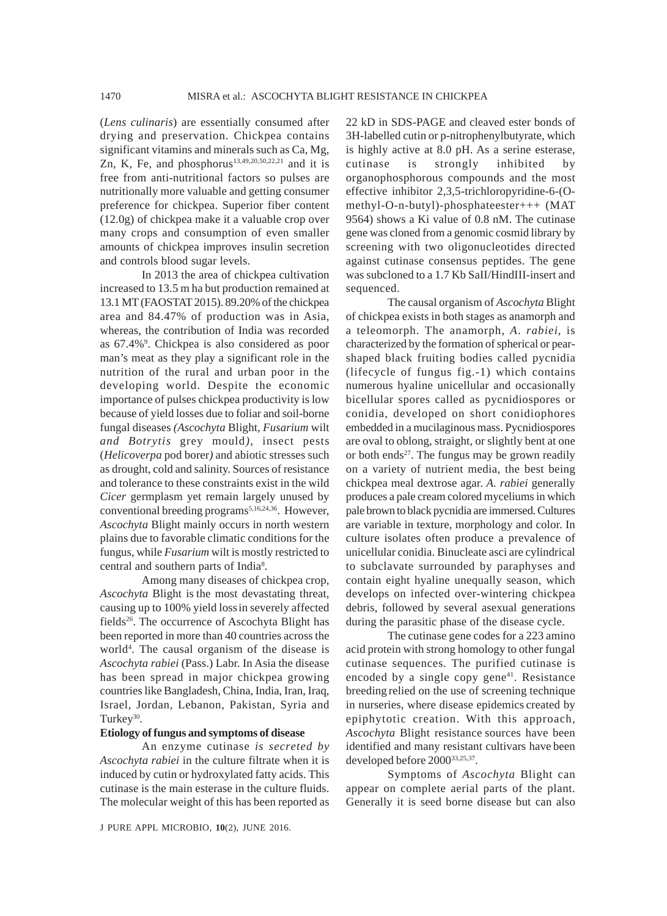(*Lens culinaris*) are essentially consumed after drying and preservation. Chickpea contains significant vitamins and minerals such as Ca, Mg, Zn, K, Fe, and phosphorus<sup>13,49,20,50,22,21</sup> and it is free from anti-nutritional factors so pulses are nutritionally more valuable and getting consumer preference for chickpea. Superior fiber content (12.0g) of chickpea make it a valuable crop over many crops and consumption of even smaller amounts of chickpea improves insulin secretion and controls blood sugar levels.

In 2013 the area of chickpea cultivation increased to 13.5 m ha but production remained at 13.1 MT (FAOSTAT 2015). 89.20% of the chickpea area and 84.47% of production was in Asia, whereas, the contribution of India was recorded as 67.4%<sup>9</sup>. Chickpea is also considered as poor man's meat as they play a significant role in the nutrition of the rural and urban poor in the developing world. Despite the economic importance of pulses chickpea productivity is low because of yield losses due to foliar and soil-borne fungal diseases *(Ascochyta* Blight*, Fusarium* wilt *and Botrytis* grey mould*)*, insect pests (*Helicoverpa* pod borer*)* and abiotic stresses such as drought, cold and salinity. Sources of resistance and tolerance to these constraints exist in the wild *Cicer* germplasm yet remain largely unused by conventional breeding programs<sup>5,16,24,36</sup>. However, *Ascochyta* Blight mainly occurs in north western plains due to favorable climatic conditions for the fungus, while *Fusarium* wilt is mostly restricted to central and southern parts of India<sup>8</sup>.

Among many diseases of chickpea crop, *Ascochyta* Blight is the most devastating threat, causing up to 100% yield lossin severely affected fields<sup>26</sup>. The occurrence of Ascochyta Blight has been reported in more than 40 countries across the world<sup>4</sup>. The causal organism of the disease is *Ascochyta rabiei* (Pass.) Labr. In Asia the disease has been spread in major chickpea growing countries like Bangladesh, China, India, Iran, Iraq, Israel, Jordan, Lebanon, Pakistan, Syria and Turkey<sup>30</sup>.

### **Etiology of fungus and symptoms of disease**

An enzyme cutinase *is secreted by Ascochyta rabiei* in the culture filtrate when it is induced by cutin or hydroxylated fatty acids. This cutinase is the main esterase in the culture fluids. The molecular weight of this has been reported as

J PURE APPL MICROBIO*,* **10**(2), JUNE 2016.

22 kD in SDS-PAGE and cleaved ester bonds of 3H-labelled cutin or p-nitrophenylbutyrate, which is highly active at 8.0 pH. As a serine esterase, cutinase is strongly inhibited by organophosphorous compounds and the most effective inhibitor 2,3,5-trichloropyridine-6-(Omethyl-O-n-butyl)-phosphateester+++ (MAT 9564) shows a Ki value of 0.8 nM. The cutinase gene was cloned from a genomic cosmid library by screening with two oligonucleotides directed against cutinase consensus peptides. The gene was subcloned to a 1.7 Kb SaII/HindIII-insert and sequenced.

The causal organism of *Ascochyta* Blight of chickpea exists in both stages as anamorph and a teleomorph. The anamorph, *A*. *rabiei*, is characterized by the formation of spherical or pearshaped black fruiting bodies called pycnidia (lifecycle of fungus fig.-1) which contains numerous hyaline unicellular and occasionally bicellular spores called as pycnidiospores or conidia, developed on short conidiophores embedded in a mucilaginous mass. Pycnidiospores are oval to oblong, straight, or slightly bent at one or both ends $27$ . The fungus may be grown readily on a variety of nutrient media, the best being chickpea meal dextrose agar. *A. rabiei* generally produces a pale cream colored myceliums in which pale brown to black pycnidia are immersed. Cultures are variable in texture, morphology and color. In culture isolates often produce a prevalence of unicellular conidia. Binucleate asci are cylindrical to subclavate surrounded by paraphyses and contain eight hyaline unequally season, which develops on infected over-wintering chickpea debris, followed by several asexual generations during the parasitic phase of the disease cycle.

The cutinase gene codes for a 223 amino acid protein with strong homology to other fungal cutinase sequences. The purified cutinase is encoded by a single copy gene $41$ . Resistance breeding relied on the use of screening technique in nurseries, where disease epidemics created by epiphytotic creation. With this approach, *Ascochyta* Blight resistance sources have been identified and many resistant cultivars have been developed before 2000<sup>33,25,37</sup>.

Symptoms of *Ascochyta* Blight can appear on complete aerial parts of the plant. Generally it is seed borne disease but can also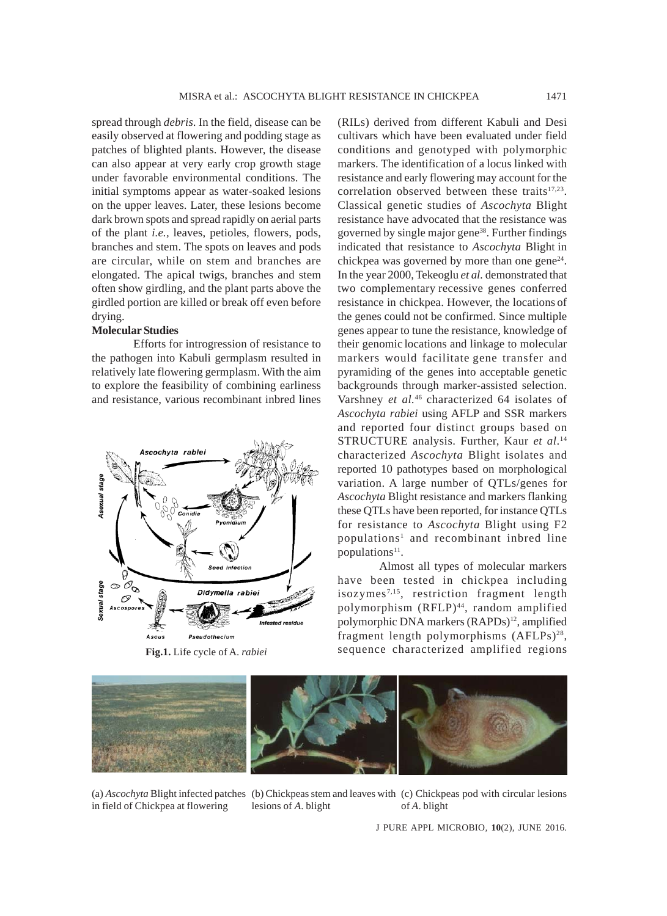spread through *debris*. In the field, disease can be easily observed at flowering and podding stage as patches of blighted plants. However, the disease can also appear at very early crop growth stage under favorable environmental conditions. The initial symptoms appear as water-soaked lesions on the upper leaves. Later, these lesions become dark brown spots and spread rapidly on aerial parts of the plant *i.e.,* leaves, petioles, flowers, pods, branches and stem. The spots on leaves and pods are circular, while on stem and branches are elongated. The apical twigs, branches and stem often show girdling, and the plant parts above the girdled portion are killed or break off even before drying.

## **Molecular Studies**

Efforts for introgression of resistance to the pathogen into Kabuli germplasm resulted in relatively late flowering germplasm. With the aim to explore the feasibility of combining earliness and resistance, various recombinant inbred lines



(RILs) derived from different Kabuli and Desi cultivars which have been evaluated under field conditions and genotyped with polymorphic markers. The identification of a locus linked with resistance and early flowering may account for the correlation observed between these traits<sup>17,23</sup>. Classical genetic studies of *Ascochyta* Blight resistance have advocated that the resistance was governed by single major gene<sup>38</sup>. Further findings indicated that resistance to *Ascochyta* Blight in chickpea was governed by more than one gene $24$ . In the year 2000, Tekeoglu *et al.* demonstrated that two complementary recessive genes conferred resistance in chickpea. However, the locations of the genes could not be confirmed. Since multiple genes appear to tune the resistance, knowledge of their genomic locations and linkage to molecular markers would facilitate gene transfer and pyramiding of the genes into acceptable genetic backgrounds through marker-assisted selection. Varshney *et al.*46 characterized 64 isolates of *Ascochyta rabiei* using AFLP and SSR markers and reported four distinct groups based on STRUCTURE analysis. Further, Kaur *et al*. 14 characterized *Ascochyta* Blight isolates and reported 10 pathotypes based on morphological variation. A large number of QTLs/genes for *Ascochyta* Blight resistance and markers flanking these QTLs have been reported, for instance QTLs for resistance to *Ascochyta* Blight using F2 populations<sup>1</sup> and recombinant inbred line populations $11$ .

Almost all types of molecular markers have been tested in chickpea including isozymes7,15, restriction fragment length polymorphism (RFLP)<sup>44</sup>, random amplified polymorphic DNA markers (RAPDs)<sup>12</sup>, amplified fragment length polymorphisms (AFLPs)<sup>28</sup>, Fig.1. Life cycle of A. rabiei sequence characterized amplified regions



in field of Chickpea at flowering

(a) *Ascochyta* Blight infected patches (b) Chickpeas stem and leaves with (c) Chickpeas pod with circular lesions lesions of *A*. blight of *A*. blight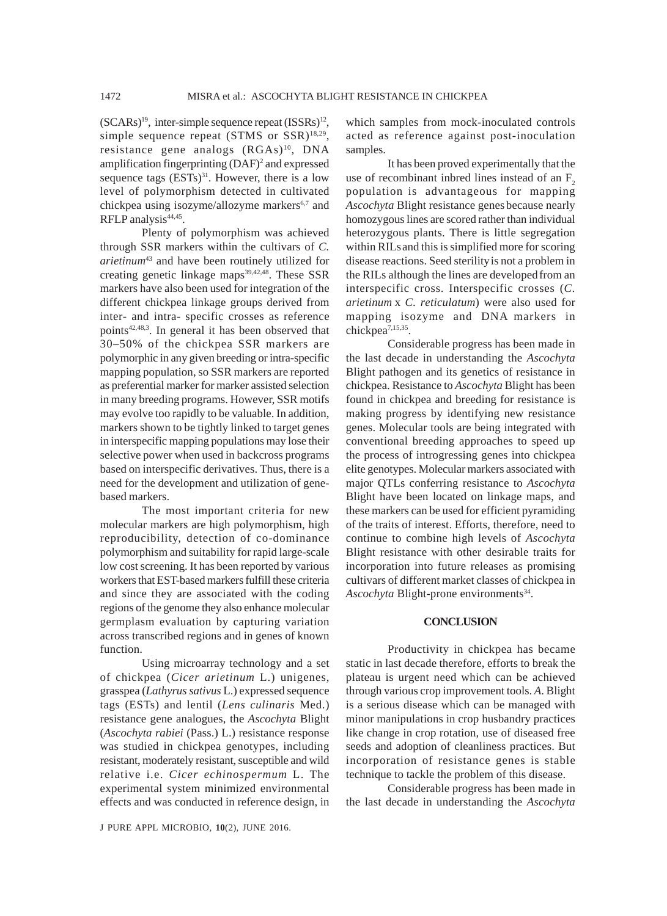$(SCARS)^{19}$ , inter-simple sequence repeat  $(ISSRs)^{12}$ , simple sequence repeat  $(STMS$  or  $SSR)$ <sup>18,29</sup>, resistance gene analogs  $(RGAs)^{10}$ , DNA amplification fingerprinting (DAF)<sup>2</sup> and expressed sequence tags  $(ESTs)^{31}$ . However, there is a low level of polymorphism detected in cultivated chickpea using isozyme/allozyme markers<sup>6,7</sup> and RFLP analysis<sup>44,45</sup>.

Plenty of polymorphism was achieved through SSR markers within the cultivars of *C. arietinum*43 and have been routinely utilized for creating genetic linkage maps $39,42,48$ . These SSR markers have also been used for integration of the different chickpea linkage groups derived from inter- and intra- specific crosses as reference points<sup>42,48,3</sup>. In general it has been observed that 30–50% of the chickpea SSR markers are polymorphic in any given breeding or intra-specific mapping population, so SSR markers are reported as preferential marker for marker assisted selection in many breeding programs. However, SSR motifs may evolve too rapidly to be valuable. In addition, markers shown to be tightly linked to target genes in interspecific mapping populations may lose their selective power when used in backcross programs based on interspecific derivatives. Thus, there is a need for the development and utilization of genebased markers.

The most important criteria for new molecular markers are high polymorphism, high reproducibility, detection of co-dominance polymorphism and suitability for rapid large-scale low cost screening. It has been reported by various workers that EST-based markers fulfill these criteria and since they are associated with the coding regions of the genome they also enhance molecular germplasm evaluation by capturing variation across transcribed regions and in genes of known function.

Using microarray technology and a set of chickpea (*Cicer arietinum* L.) unigenes, grasspea (*Lathyrus sativus* L.) expressed sequence tags (ESTs) and lentil (*Lens culinaris* Med.) resistance gene analogues, the *Ascochyta* Blight (*Ascochyta rabiei* (Pass.) L.) resistance response was studied in chickpea genotypes, including resistant, moderately resistant, susceptible and wild relative i.e. *Cicer echinospermum* L. The experimental system minimized environmental effects and was conducted in reference design, in

which samples from mock-inoculated controls acted as reference against post-inoculation samples.

It has been proved experimentally that the use of recombinant inbred lines instead of an  $F<sub>2</sub>$ population is advantageous for mapping *Ascochyta* Blight resistance genes because nearly homozygous lines are scored rather than individual heterozygous plants. There is little segregation within RILs and this is simplified more for scoring disease reactions. Seed sterilityis not a problem in the RILs although the lines are developedfrom an interspecific cross. Interspecific crosses (*C. arietinum* x *C. reticulatum*) were also used for mapping isozyme and DNA markers in chickpea7,15,35.

Considerable progress has been made in the last decade in understanding the *Ascochyta* Blight pathogen and its genetics of resistance in chickpea. Resistance to *Ascochyta* Blight has been found in chickpea and breeding for resistance is making progress by identifying new resistance genes. Molecular tools are being integrated with conventional breeding approaches to speed up the process of introgressing genes into chickpea elite genotypes. Molecular markers associated with major QTLs conferring resistance to *Ascochyta* Blight have been located on linkage maps, and these markers can be used for efficient pyramiding of the traits of interest. Efforts, therefore, need to continue to combine high levels of *Ascochyta* Blight resistance with other desirable traits for incorporation into future releases as promising cultivars of different market classes of chickpea in *Ascochyta* Blight-prone environments<sup>34</sup>.

#### **CONCLUSION**

Productivity in chickpea has became static in last decade therefore, efforts to break the plateau is urgent need which can be achieved through various crop improvement tools. *A*. Blight is a serious disease which can be managed with minor manipulations in crop husbandry practices like change in crop rotation, use of diseased free seeds and adoption of cleanliness practices. But incorporation of resistance genes is stable technique to tackle the problem of this disease.

Considerable progress has been made in the last decade in understanding the *Ascochyta*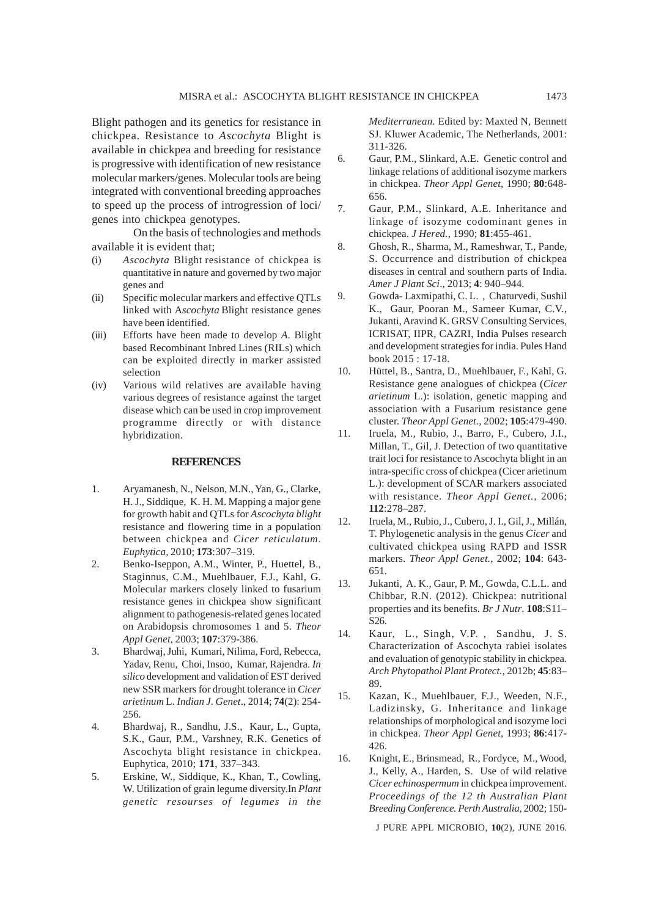Blight pathogen and its genetics for resistance in chickpea. Resistance to *Ascochyta* Blight is available in chickpea and breeding for resistance is progressive with identification of new resistance molecular markers/genes. Molecular tools are being integrated with conventional breeding approaches to speed up the process of introgression of loci/ genes into chickpea genotypes.

On the basis of technologies and methods available it is evident that;

- (i) *Ascochyta* Blight resistance of chickpea is quantitative in nature and governed by two major genes and
- (ii) Specific molecular markers and effective QTLs linked with A*scochyta* Blight resistance genes have been identified.
- (iii) Efforts have been made to develop *A*. Blight based Recombinant Inbred Lines (RILs) which can be exploited directly in marker assisted selection
- (iv) Various wild relatives are available having various degrees of resistance against the target disease which can be used in crop improvement programme directly or with distance hybridization.

#### **REFERENCES**

- 1. Aryamanesh, N., Nelson, M.N., Yan, G., Clarke, H. J., Siddique, K. H. M. Mapping a major gene for growth habit and QTLs for *Ascochyta blight* resistance and flowering time in a population between chickpea and *Cicer reticulatum*. *Euphytica,* 2010; **173**:307–319.
- 2. Benko-Iseppon, A.M., Winter, P., Huettel, B., Staginnus, C.M., Muehlbauer, F.J., Kahl, G. Molecular markers closely linked to fusarium resistance genes in chickpea show significant alignment to pathogenesis-related genes located on Arabidopsis chromosomes 1 and 5. *Theor Appl Genet,* 2003; **107**:379-386.
- 3. Bhardwaj, Juhi, Kumari, Nilima, Ford, Rebecca, Yadav, Renu, Choi, Insoo, Kumar, Rajendra. *In silico* development and validation of EST derived new SSR markers for drought tolerance in *Cicer arietinum* L. *Indian J. Genet*., 2014; **74**(2): 254- 256.
- 4. Bhardwaj, R., Sandhu, J.S., Kaur, L., Gupta, S.K., Gaur, P.M., Varshney, R.K. Genetics of Ascochyta blight resistance in chickpea. Euphytica, 2010; **171**, 337–343.
- 5. Erskine, W., Siddique, K., Khan, T., Cowling, W. Utilization of grain legume diversity.In *Plant genetic resourses of legumes in the*

*Mediterranean*. Edited by: Maxted N, Bennett SJ. Kluwer Academic, The Netherlands, 2001: 311-326.

- 6. Gaur, P.M., Slinkard, A.E. Genetic control and linkage relations of additional isozyme markers in chickpea. *Theor Appl Genet,* 1990; **80**:648- 656.
- 7. Gaur, P.M., Slinkard, A.E. Inheritance and linkage of isozyme codominant genes in chickpea. *J Hered.,* 1990; **81**:455-461.
- 8. Ghosh, R., Sharma, M., Rameshwar, T., Pande, S. Occurrence and distribution of chickpea diseases in central and southern parts of India. *Amer J Plant Sci*., 2013; **4**: 940–944.
- 9. Gowda- Laxmipathi, C. L. , Chaturvedi, Sushil K., Gaur, Pooran M., Sameer Kumar, C.V., Jukanti, Aravind K. GRSV Consulting Services, ICRISAT, IIPR, CAZRI, India Pulses research and development strategies for india. Pules Hand book 2015 : 17-18.
- 10. Hüttel, B., Santra, D., Muehlbauer, F., Kahl, G. Resistance gene analogues of chickpea (*Cicer arietinum* L.): isolation, genetic mapping and association with a Fusarium resistance gene cluster. *Theor Appl Genet.,* 2002; **105**:479-490.
- 11. Iruela, M., Rubio, J., Barro, F., Cubero, J.I., Millan, T., Gil, J. Detection of two quantitative trait loci for resistance to Ascochyta blight in an intra-specific cross of chickpea (Cicer arietinum L.): development of SCAR markers associated with resistance. *Theor Appl Genet.,* 2006; **112**:278–287.
- 12. Iruela, M., Rubio, J., Cubero, J. I., Gil, J., Millán, T. Phylogenetic analysis in the genus *Cicer* and cultivated chickpea using RAPD and ISSR markers. *Theor Appl Genet.,* 2002; **104**: 643- 651.
- 13. Jukanti, A. K., Gaur, P. M., Gowda, C.L.L. and Chibbar, R.N. (2012). Chickpea: nutritional properties and its benefits. *Br J Nutr*. **108**:S11– S26.
- 14. Kaur, L., Singh, V.P. , Sandhu, J. S. Characterization of Ascochyta rabiei isolates and evaluation of genotypic stability in chickpea. *Arch Phytopathol Plant Protect.,* 2012b; **45**:83– 89.
- 15. Kazan, K., Muehlbauer, F.J., Weeden, N.F., Ladizinsky, G. Inheritance and linkage relationships of morphological and isozyme loci in chickpea. *Theor Appl Genet,* 1993; **86**:417- 426.
- 16. Knight, E., Brinsmead, R., Fordyce, M., Wood, J., Kelly, A., Harden, S. Use of wild relative *Cicer echinospermum* in chickpea improvement. *Proceedings of the 12 th Australian Plant Breeding Conference. Perth Australia,* 2002; 150-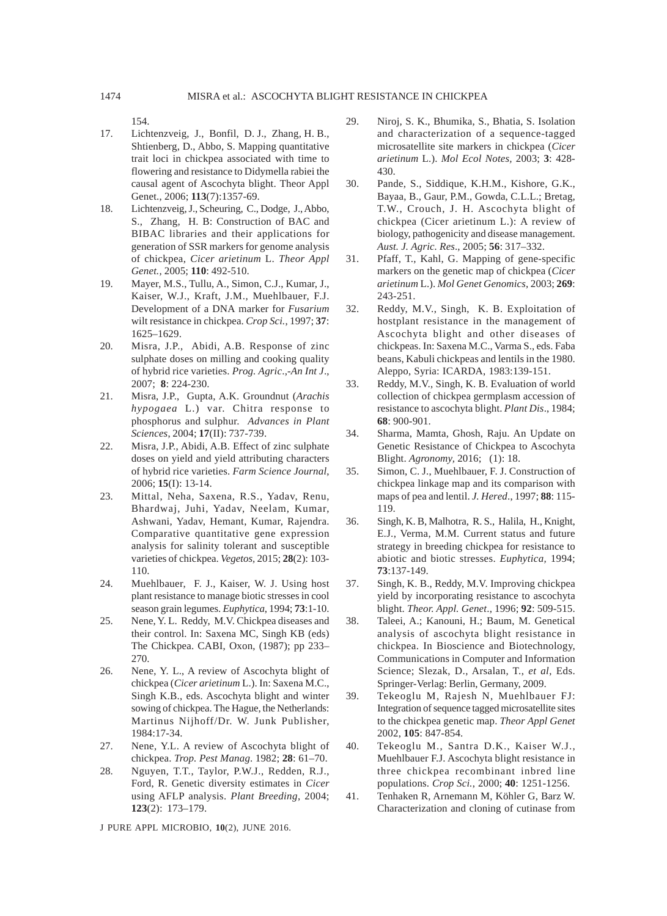154.

- 17. Lichtenzveig, J., Bonfil, D. J., Zhang, H. B., Shtienberg, D., Abbo, S. Mapping quantitative trait loci in chickpea associated with time to flowering and resistance to Didymella rabiei the causal agent of Ascochyta blight. Theor Appl Genet., 2006; **113**(7):1357-69.
- 18. Lichtenzveig, J., Scheuring, C., Dodge, J., Abbo, S., Zhang, H. B: Construction of BAC and BIBAC libraries and their applications for generation of SSR markers for genome analysis of chickpea, *Cicer arietinum* L. *Theor Appl Genet.,* 2005; **110**: 492-510.
- 19. Mayer, M.S., Tullu, A., Simon, C.J., Kumar, J., Kaiser, W.J., Kraft, J.M., Muehlbauer, F.J. Development of a DNA marker for *Fusarium* wilt resistance in chickpea. *Crop Sci.*, 1997; **37**: 1625–1629.
- 20. Misra, J.P., Abidi, A.B. Response of zinc sulphate doses on milling and cooking quality of hybrid rice varieties. *Prog. Agric*.,-*An Int J*., 2007; **8**: 224-230.
- 21. Misra, J.P., Gupta, A.K. Groundnut (*Arachis hypogaea* L.) var. Chitra response to phosphorus and sulphur. *Advances in Plant Sciences*, 2004; **17**(II): 737-739.
- 22. Misra, J.P., Abidi, A.B. Effect of zinc sulphate doses on yield and yield attributing characters of hybrid rice varieties. *Farm Science Journal*, 2006; **15**(I): 13-14.
- 23. Mittal, Neha, Saxena, R.S., Yadav, Renu, Bhardwaj, Juhi, Yadav, Neelam, Kumar, Ashwani, Yadav, Hemant, Kumar, Rajendra. Comparative quantitative gene expression analysis for salinity tolerant and susceptible varieties of chickpea. *Vegetos,* 2015; **28**(2): 103- 110.
- 24. Muehlbauer, F. J., Kaiser, W. J. Using host plant resistance to manage biotic stresses in cool season grain legumes. *Euphytica*, 1994; **73**:1-10.
- 25. Nene, Y. L. Reddy, M.V. Chickpea diseases and their control. In: Saxena MC, Singh KB (eds) The Chickpea. CABI, Oxon, (1987); pp 233– 270.
- 26. Nene, Y. L., A review of Ascochyta blight of chickpea (*Cicer arietinum* L.). In: Saxena M.C., Singh K.B., eds. Ascochyta blight and winter sowing of chickpea. The Hague, the Netherlands: Martinus Nijhoff/Dr. W. Junk Publisher, 1984:17-34.
- 27. Nene, Y.L. A review of Ascochyta blight of chickpea. *Trop. Pest Manag*. 1982; **28**: 61–70.
- 28. Nguyen, T.T., Taylor, P.W.J., Redden, R.J., Ford, R. Genetic diversity estimates in *Cicer* using AFLP analysis. *Plant Breeding*, 2004; **123**(2): 173–179.

- 29. Niroj, S. K., Bhumika, S., Bhatia, S. Isolation and characterization of a sequence-tagged microsatellite site markers in chickpea (*Cicer arietinum* L.). *Mol Ecol Notes,* 2003; **3**: 428- 430.
- 30. Pande, S., Siddique, K.H.M., Kishore, G.K., Bayaa, B., Gaur, P.M., Gowda, C.L.L.; Bretag, T.W., Crouch, J. H. Ascochyta blight of chickpea (Cicer arietinum L.): A review of biology, pathogenicity and disease management. *Aust. J. Agric. Res*., 2005; **56**: 317–332.
- 31. Pfaff, T., Kahl, G. Mapping of gene-specific markers on the genetic map of chickpea (*Cicer arietinum* L.). *Mol Genet Genomics,* 2003; **269**: 243-251.
- 32. Reddy, M.V., Singh, K. B. Exploitation of hostplant resistance in the management of Ascochyta blight and other diseases of chickpeas. In: Saxena M.C., Varma S., eds. Faba beans, Kabuli chickpeas and lentils in the 1980. Aleppo, Syria: ICARDA, 1983:139-151.
- 33. Reddy, M.V., Singh, K. B. Evaluation of world collection of chickpea germplasm accession of resistance to ascochyta blight. *Plant Dis*., 1984; **68**: 900-901.
- 34. Sharma, Mamta, Ghosh, Raju. An Update on Genetic Resistance of Chickpea to Ascochyta Blight. *Agronomy,* 2016; **6**(1): 18.
- 35. Simon, C. J., Muehlbauer, F. J. Construction of chickpea linkage map and its comparison with maps of pea and lentil. *J. Hered*., 1997; **88**: 115- 119.
- 36. Singh, K. B, Malhotra, R. S., Halila, H., Knight, E.J., Verma, M.M. Current status and future strategy in breeding chickpea for resistance to abiotic and biotic stresses. *Euphytica,* 1994; **73**:137-149.
- 37. Singh, K. B., Reddy, M.V. Improving chickpea yield by incorporating resistance to ascochyta blight. *Theor. Appl. Genet*., 1996; **92**: 509-515.
- 38. Taleei, A.; Kanouni, H.; Baum, M. Genetical analysis of ascochyta blight resistance in chickpea. In Bioscience and Biotechnology, Communications in Computer and Information Science; Slezak, D., Arsalan, T., *et al*, Eds. Springer-Verlag: Berlin, Germany, 2009.
- 39. Tekeoglu M, Rajesh N, Muehlbauer FJ: Integration of sequence tagged microsatellite sites to the chickpea genetic map. *Theor Appl Genet* 2002, **105**: 847-854.
- 40. Tekeoglu M., Santra D.K., Kaiser W.J., Muehlbauer F.J. Ascochyta blight resistance in three chickpea recombinant inbred line populations. *Crop Sci.*, 2000; **40**: 1251-1256.
- 41. Tenhaken R, Arnemann M, Köhler G, Barz W. Characterization and cloning of cutinase from